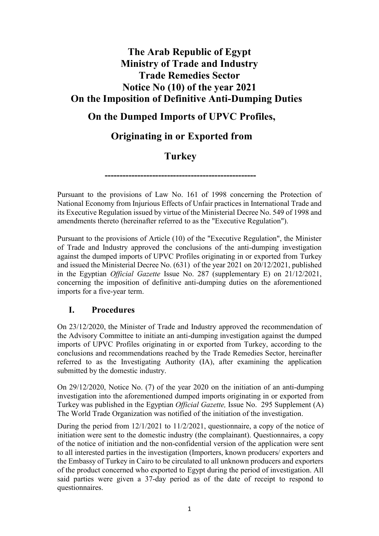# **The Arab Republic of Egypt Ministry of Trade and Industry Trade Remedies Sector Notice No (10) of the year 2021 On the Imposition of Definitive Anti-Dumping Duties**

## **On the Dumped Imports of UPVC Profiles,**

## **Originating in or Exported from**

## **Turkey**

**---------------------------------------------------**

Pursuant to the provisions of Law No. 161 of 1998 concerning the Protection of National Economy from Injurious Effects of Unfair practices in International Trade and its Executive Regulation issued by virtue of the Ministerial Decree No. 549 of 1998 and amendments thereto (hereinafter referred to as the "Executive Regulation").

Pursuant to the provisions of Article (10) of the "Executive Regulation", the Minister of Trade and Industry approved the conclusions of the anti-dumping investigation against the dumped imports of UPVC Profiles originating in or exported from Turkey and issued the Ministerial Decree No. (631) of the year 2021 on 20/12/2021, published in the Egyptian *Official Gazette* Issue No. 287 (supplementary E) on 21/12/2021, concerning the imposition of definitive anti-dumping duties on the aforementioned imports for a five-year term.

#### **I. Procedures**

On 23/12/2020, the Minister of Trade and Industry approved the recommendation of the Advisory Committee to initiate an anti-dumping investigation against the dumped imports of UPVC Profiles originating in or exported from Turkey, according to the conclusions and recommendations reached by the Trade Remedies Sector, hereinafter referred to as the Investigating Authority (IA), after examining the application submitted by the domestic industry.

On 29/12/2020, Notice No. (7) of the year 2020 on the initiation of an anti-dumping investigation into the aforementioned dumped imports originating in or exported from Turkey was published in the Egyptian *Official Gazette,* Issue No. 295 Supplement (A) The World Trade Organization was notified of the initiation of the investigation.

During the period from 12/1/2021 to 11/2/2021, questionnaire, a copy of the notice of initiation were sent to the domestic industry (the complainant). Questionnaires, a copy of the notice of initiation and the non-confidential version of the application were sent to all interested parties in the investigation (Importers, known producers/ exporters and the Embassy of Turkey in Cairo to be circulated to all unknown producers and exporters of the product concerned who exported to Egypt during the period of investigation. All said parties were given a 37-day period as of the date of receipt to respond to questionnaires.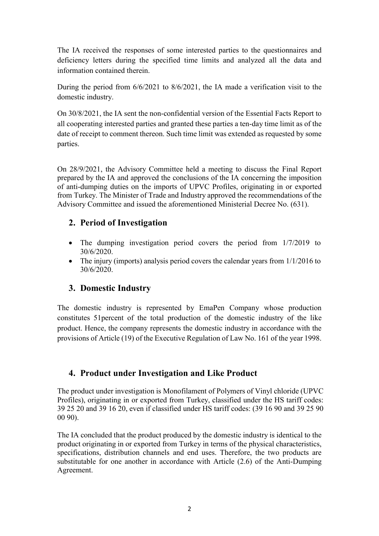The IA received the responses of some interested parties to the questionnaires and deficiency letters during the specified time limits and analyzed all the data and information contained therein.

During the period from 6/6/2021 to 8/6/2021, the IA made a verification visit to the domestic industry.

On 30/8/2021, the IA sent the non-confidential version of the Essential Facts Report to all cooperating interested parties and granted these parties a ten-day time limit as of the date of receipt to comment thereon. Such time limit was extended as requested by some parties.

On 28/9/2021, the Advisory Committee held a meeting to discuss the Final Report prepared by the IA and approved the conclusions of the IA concerning the imposition of anti-dumping duties on the imports of UPVC Profiles, originating in or exported from Turkey. The Minister of Trade and Industry approved the recommendations of the Advisory Committee and issued the aforementioned Ministerial Decree No. (631).

### **2. Period of Investigation**

- The dumping investigation period covers the period from 1/7/2019 to 30/6/2020.
- The injury (imports) analysis period covers the calendar years from  $1/1/2016$  to 30/6/2020.

#### **3. Domestic Industry**

The domestic industry is represented by EmaPen Company whose production constitutes 51percent of the total production of the domestic industry of the like product. Hence, the company represents the domestic industry in accordance with the provisions of Article (19) of the Executive Regulation of Law No. 161 of the year 1998.

#### **4. Product under Investigation and Like Product**

The product under investigation is Monofilament of Polymers of Vinyl chloride (UPVC Profiles), originating in or exported from Turkey, classified under the HS tariff codes: 39 25 20 and 39 16 20, even if classified under HS tariff codes: (39 16 90 and 39 25 90 00 90).

The IA concluded that the product produced by the domestic industry is identical to the product originating in or exported from Turkey in terms of the physical characteristics, specifications, distribution channels and end uses. Therefore, the two products are substitutable for one another in accordance with Article (2.6) of the Anti-Dumping Agreement.